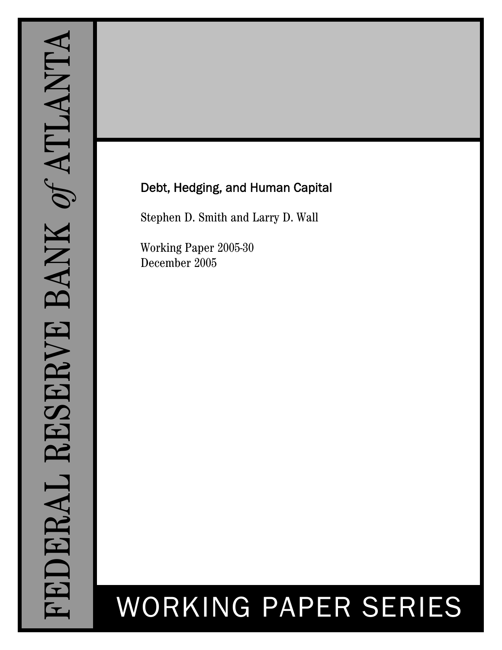# Debt, Hedging, and Human Capital

Stephen D. Smith and Larry D. Wall

Working Paper 2005-30 December 2005

# WORKING PAPER SERIES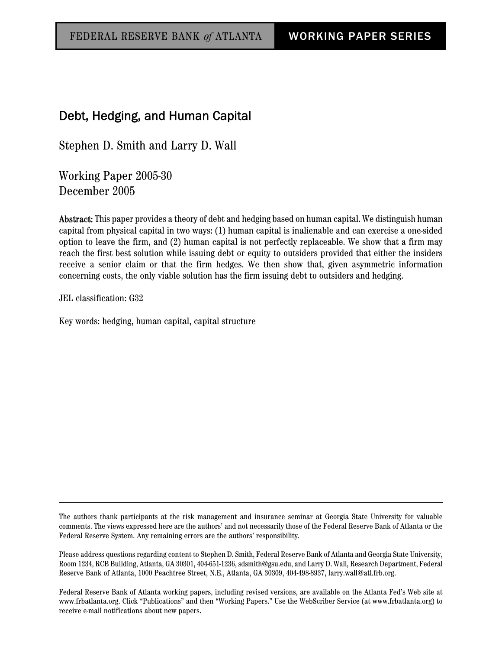# Debt, Hedging, and Human Capital

Stephen D. Smith and Larry D. Wall

Working Paper 2005-30 December 2005

Abstract: This paper provides a theory of debt and hedging based on human capital. We distinguish human capital from physical capital in two ways: (1) human capital is inalienable and can exercise a one-sided option to leave the firm, and (2) human capital is not perfectly replaceable. We show that a firm may reach the first best solution while issuing debt or equity to outsiders provided that either the insiders receive a senior claim or that the firm hedges. We then show that, given asymmetric information concerning costs, the only viable solution has the firm issuing debt to outsiders and hedging.

JEL classification: G32

Key words: hedging, human capital, capital structure

The authors thank participants at the risk management and insurance seminar at Georgia State University for valuable comments. The views expressed here are the authors' and not necessarily those of the Federal Reserve Bank of Atlanta or the Federal Reserve System. Any remaining errors are the authors' responsibility.

Please address questions regarding content to Stephen D. Smith, Federal Reserve Bank of Atlanta and Georgia State University, Room 1234, RCB Building, Atlanta, GA 30301, 404-651-1236, sdsmith@gsu.edu, and Larry D. Wall, Research Department, Federal Reserve Bank of Atlanta, 1000 Peachtree Street, N.E., Atlanta, GA 30309, 404-498-8937, larry.wall@atl.frb.org.

Federal Reserve Bank of Atlanta working papers, including revised versions, are available on the Atlanta Fed's Web site at www.frbatlanta.org. Click "Publications" and then "Working Papers." Use the WebScriber Service (at www.frbatlanta.org) to receive e-mail notifications about new papers.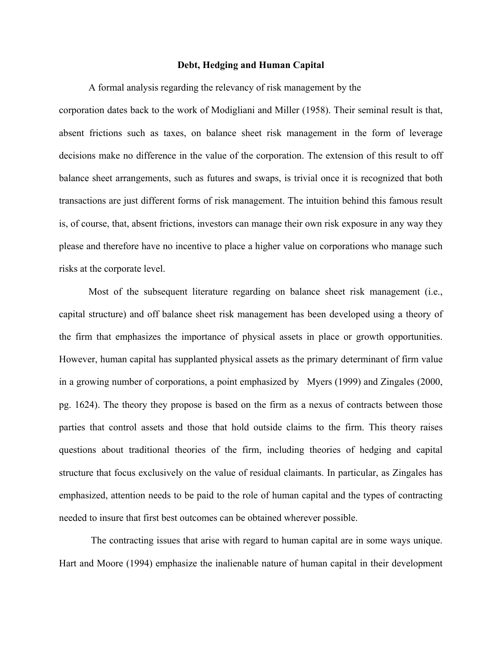#### **Debt, Hedging and Human Capital**

A formal analysis regarding the relevancy of risk management by the

corporation dates back to the work of Modigliani and Miller (1958). Their seminal result is that, absent frictions such as taxes, on balance sheet risk management in the form of leverage decisions make no difference in the value of the corporation. The extension of this result to off balance sheet arrangements, such as futures and swaps, is trivial once it is recognized that both transactions are just different forms of risk management. The intuition behind this famous result is, of course, that, absent frictions, investors can manage their own risk exposure in any way they please and therefore have no incentive to place a higher value on corporations who manage such risks at the corporate level.

Most of the subsequent literature regarding on balance sheet risk management (i.e., capital structure) and off balance sheet risk management has been developed using a theory of the firm that emphasizes the importance of physical assets in place or growth opportunities. However, human capital has supplanted physical assets as the primary determinant of firm value in a growing number of corporations, a point emphasized by Myers (1999) and Zingales (2000, pg. 1624). The theory they propose is based on the firm as a nexus of contracts between those parties that control assets and those that hold outside claims to the firm. This theory raises questions about traditional theories of the firm, including theories of hedging and capital structure that focus exclusively on the value of residual claimants. In particular, as Zingales has emphasized, attention needs to be paid to the role of human capital and the types of contracting needed to insure that first best outcomes can be obtained wherever possible.

 The contracting issues that arise with regard to human capital are in some ways unique. Hart and Moore (1994) emphasize the inalienable nature of human capital in their development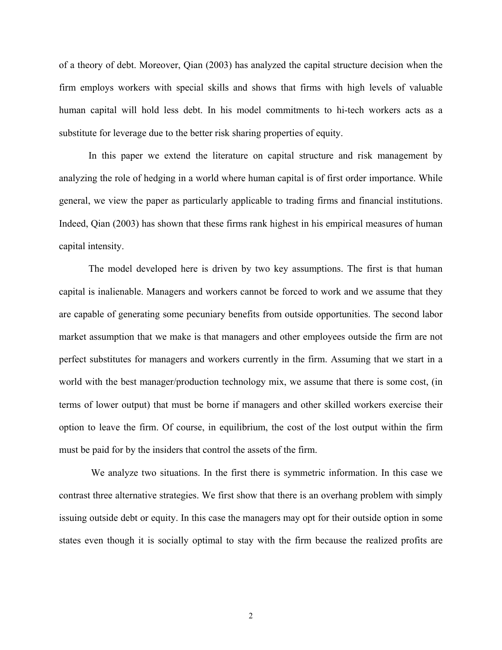of a theory of debt. Moreover, Qian (2003) has analyzed the capital structure decision when the firm employs workers with special skills and shows that firms with high levels of valuable human capital will hold less debt. In his model commitments to hi-tech workers acts as a substitute for leverage due to the better risk sharing properties of equity.

In this paper we extend the literature on capital structure and risk management by analyzing the role of hedging in a world where human capital is of first order importance. While general, we view the paper as particularly applicable to trading firms and financial institutions. Indeed, Qian (2003) has shown that these firms rank highest in his empirical measures of human capital intensity.

The model developed here is driven by two key assumptions. The first is that human capital is inalienable. Managers and workers cannot be forced to work and we assume that they are capable of generating some pecuniary benefits from outside opportunities. The second labor market assumption that we make is that managers and other employees outside the firm are not perfect substitutes for managers and workers currently in the firm. Assuming that we start in a world with the best manager/production technology mix, we assume that there is some cost, (in terms of lower output) that must be borne if managers and other skilled workers exercise their option to leave the firm. Of course, in equilibrium, the cost of the lost output within the firm must be paid for by the insiders that control the assets of the firm.

 We analyze two situations. In the first there is symmetric information. In this case we contrast three alternative strategies. We first show that there is an overhang problem with simply issuing outside debt or equity. In this case the managers may opt for their outside option in some states even though it is socially optimal to stay with the firm because the realized profits are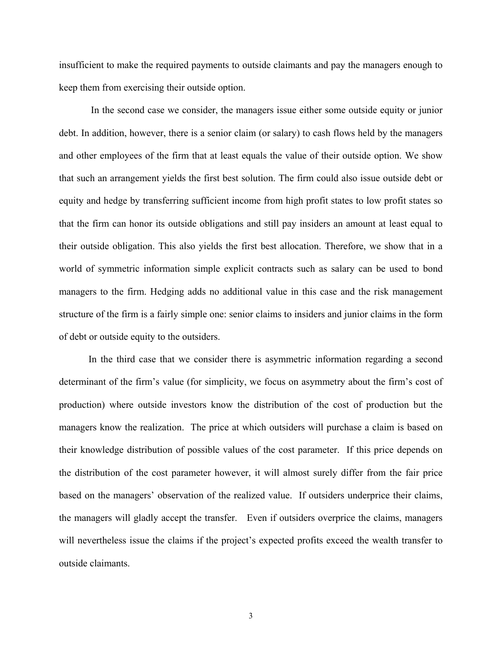insufficient to make the required payments to outside claimants and pay the managers enough to keep them from exercising their outside option.

 In the second case we consider, the managers issue either some outside equity or junior debt. In addition, however, there is a senior claim (or salary) to cash flows held by the managers and other employees of the firm that at least equals the value of their outside option. We show that such an arrangement yields the first best solution. The firm could also issue outside debt or equity and hedge by transferring sufficient income from high profit states to low profit states so that the firm can honor its outside obligations and still pay insiders an amount at least equal to their outside obligation. This also yields the first best allocation. Therefore, we show that in a world of symmetric information simple explicit contracts such as salary can be used to bond managers to the firm. Hedging adds no additional value in this case and the risk management structure of the firm is a fairly simple one: senior claims to insiders and junior claims in the form of debt or outside equity to the outsiders.

In the third case that we consider there is asymmetric information regarding a second determinant of the firm's value (for simplicity, we focus on asymmetry about the firm's cost of production) where outside investors know the distribution of the cost of production but the managers know the realization. The price at which outsiders will purchase a claim is based on their knowledge distribution of possible values of the cost parameter. If this price depends on the distribution of the cost parameter however, it will almost surely differ from the fair price based on the managers' observation of the realized value. If outsiders underprice their claims, the managers will gladly accept the transfer. Even if outsiders overprice the claims, managers will nevertheless issue the claims if the project's expected profits exceed the wealth transfer to outside claimants.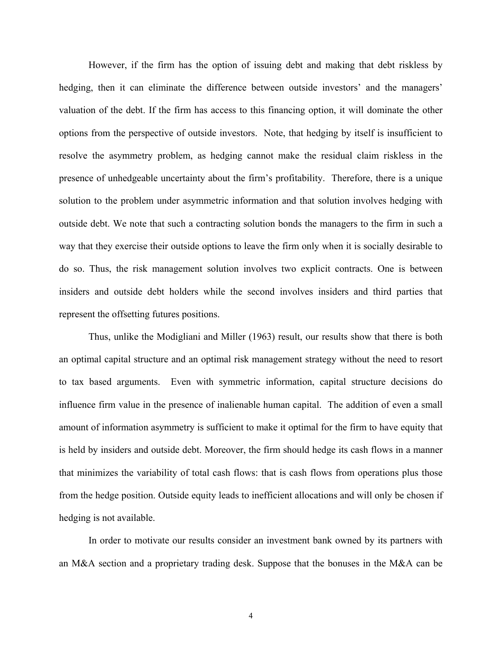However, if the firm has the option of issuing debt and making that debt riskless by hedging, then it can eliminate the difference between outside investors' and the managers' valuation of the debt. If the firm has access to this financing option, it will dominate the other options from the perspective of outside investors. Note, that hedging by itself is insufficient to resolve the asymmetry problem, as hedging cannot make the residual claim riskless in the presence of unhedgeable uncertainty about the firm's profitability. Therefore, there is a unique solution to the problem under asymmetric information and that solution involves hedging with outside debt. We note that such a contracting solution bonds the managers to the firm in such a way that they exercise their outside options to leave the firm only when it is socially desirable to do so. Thus, the risk management solution involves two explicit contracts. One is between insiders and outside debt holders while the second involves insiders and third parties that represent the offsetting futures positions.

Thus, unlike the Modigliani and Miller (1963) result, our results show that there is both an optimal capital structure and an optimal risk management strategy without the need to resort to tax based arguments. Even with symmetric information, capital structure decisions do influence firm value in the presence of inalienable human capital. The addition of even a small amount of information asymmetry is sufficient to make it optimal for the firm to have equity that is held by insiders and outside debt. Moreover, the firm should hedge its cash flows in a manner that minimizes the variability of total cash flows: that is cash flows from operations plus those from the hedge position. Outside equity leads to inefficient allocations and will only be chosen if hedging is not available.

In order to motivate our results consider an investment bank owned by its partners with an M&A section and a proprietary trading desk. Suppose that the bonuses in the M&A can be

4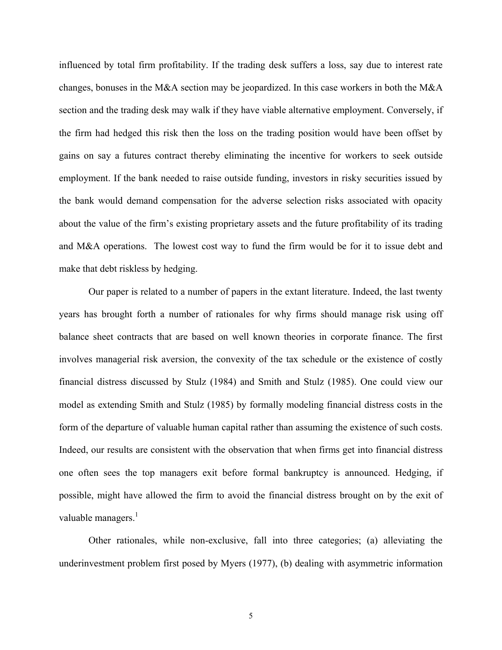influenced by total firm profitability. If the trading desk suffers a loss, say due to interest rate changes, bonuses in the M&A section may be jeopardized. In this case workers in both the M&A section and the trading desk may walk if they have viable alternative employment. Conversely, if the firm had hedged this risk then the loss on the trading position would have been offset by gains on say a futures contract thereby eliminating the incentive for workers to seek outside employment. If the bank needed to raise outside funding, investors in risky securities issued by the bank would demand compensation for the adverse selection risks associated with opacity about the value of the firm's existing proprietary assets and the future profitability of its trading and M&A operations. The lowest cost way to fund the firm would be for it to issue debt and make that debt riskless by hedging.

Our paper is related to a number of papers in the extant literature. Indeed, the last twenty years has brought forth a number of rationales for why firms should manage risk using off balance sheet contracts that are based on well known theories in corporate finance. The first involves managerial risk aversion, the convexity of the tax schedule or the existence of costly financial distress discussed by Stulz (1984) and Smith and Stulz (1985). One could view our model as extending Smith and Stulz (1985) by formally modeling financial distress costs in the form of the departure of valuable human capital rather than assuming the existence of such costs. Indeed, our results are consistent with the observation that when firms get into financial distress one often sees the top managers exit before formal bankruptcy is announced. Hedging, if possible, might have allowed the firm to avoid the financial distress brought on by the exit of valuable managers. $<sup>1</sup>$ </sup>

Other rationales, while non-exclusive, fall into three categories; (a) alleviating the underinvestment problem first posed by Myers (1977), (b) dealing with asymmetric information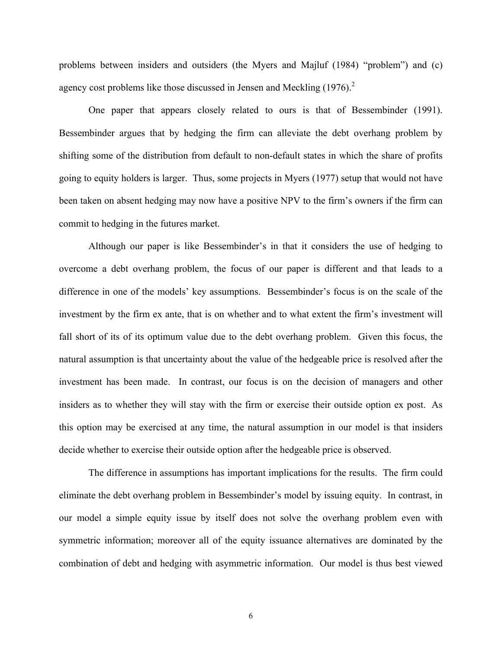problems between insiders and outsiders (the Myers and Majluf (1984) "problem") and (c) agency cost problems like those discussed in Jensen and Meckling  $(1976)^2$ 

One paper that appears closely related to ours is that of Bessembinder (1991). Bessembinder argues that by hedging the firm can alleviate the debt overhang problem by shifting some of the distribution from default to non-default states in which the share of profits going to equity holders is larger. Thus, some projects in Myers (1977) setup that would not have been taken on absent hedging may now have a positive NPV to the firm's owners if the firm can commit to hedging in the futures market.

Although our paper is like Bessembinder's in that it considers the use of hedging to overcome a debt overhang problem, the focus of our paper is different and that leads to a difference in one of the models' key assumptions. Bessembinder's focus is on the scale of the investment by the firm ex ante, that is on whether and to what extent the firm's investment will fall short of its of its optimum value due to the debt overhang problem. Given this focus, the natural assumption is that uncertainty about the value of the hedgeable price is resolved after the investment has been made. In contrast, our focus is on the decision of managers and other insiders as to whether they will stay with the firm or exercise their outside option ex post. As this option may be exercised at any time, the natural assumption in our model is that insiders decide whether to exercise their outside option after the hedgeable price is observed.

The difference in assumptions has important implications for the results. The firm could eliminate the debt overhang problem in Bessembinder's model by issuing equity. In contrast, in our model a simple equity issue by itself does not solve the overhang problem even with symmetric information; moreover all of the equity issuance alternatives are dominated by the combination of debt and hedging with asymmetric information. Our model is thus best viewed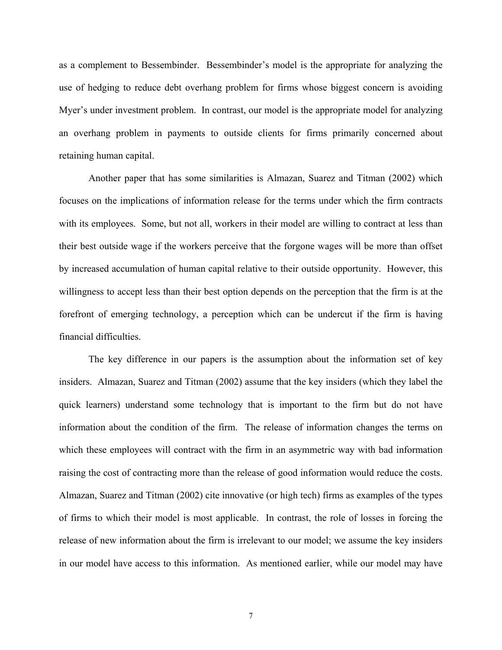as a complement to Bessembinder. Bessembinder's model is the appropriate for analyzing the use of hedging to reduce debt overhang problem for firms whose biggest concern is avoiding Myer's under investment problem. In contrast, our model is the appropriate model for analyzing an overhang problem in payments to outside clients for firms primarily concerned about retaining human capital.

Another paper that has some similarities is Almazan, Suarez and Titman (2002) which focuses on the implications of information release for the terms under which the firm contracts with its employees. Some, but not all, workers in their model are willing to contract at less than their best outside wage if the workers perceive that the forgone wages will be more than offset by increased accumulation of human capital relative to their outside opportunity. However, this willingness to accept less than their best option depends on the perception that the firm is at the forefront of emerging technology, a perception which can be undercut if the firm is having financial difficulties.

The key difference in our papers is the assumption about the information set of key insiders. Almazan, Suarez and Titman (2002) assume that the key insiders (which they label the quick learners) understand some technology that is important to the firm but do not have information about the condition of the firm. The release of information changes the terms on which these employees will contract with the firm in an asymmetric way with bad information raising the cost of contracting more than the release of good information would reduce the costs. Almazan, Suarez and Titman (2002) cite innovative (or high tech) firms as examples of the types of firms to which their model is most applicable. In contrast, the role of losses in forcing the release of new information about the firm is irrelevant to our model; we assume the key insiders in our model have access to this information. As mentioned earlier, while our model may have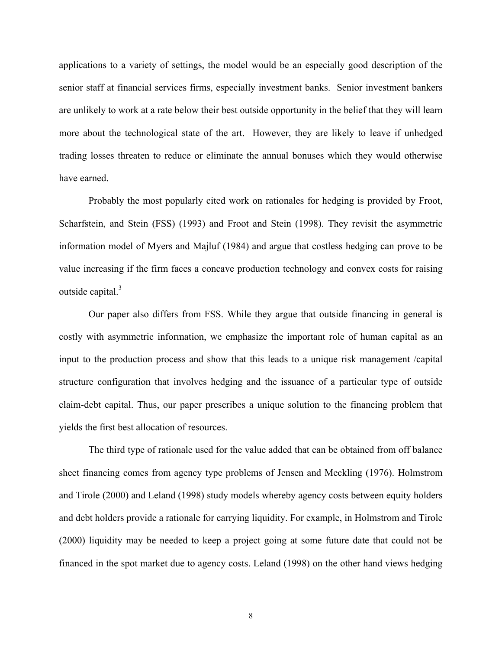applications to a variety of settings, the model would be an especially good description of the senior staff at financial services firms, especially investment banks. Senior investment bankers are unlikely to work at a rate below their best outside opportunity in the belief that they will learn more about the technological state of the art. However, they are likely to leave if unhedged trading losses threaten to reduce or eliminate the annual bonuses which they would otherwise have earned.

Probably the most popularly cited work on rationales for hedging is provided by Froot, Scharfstein, and Stein (FSS) (1993) and Froot and Stein (1998). They revisit the asymmetric information model of Myers and Majluf (1984) and argue that costless hedging can prove to be value increasing if the firm faces a concave production technology and convex costs for raising outside capital.<sup>3</sup>

Our paper also differs from FSS. While they argue that outside financing in general is costly with asymmetric information, we emphasize the important role of human capital as an input to the production process and show that this leads to a unique risk management /capital structure configuration that involves hedging and the issuance of a particular type of outside claim-debt capital. Thus, our paper prescribes a unique solution to the financing problem that yields the first best allocation of resources.

The third type of rationale used for the value added that can be obtained from off balance sheet financing comes from agency type problems of Jensen and Meckling (1976). Holmstrom and Tirole (2000) and Leland (1998) study models whereby agency costs between equity holders and debt holders provide a rationale for carrying liquidity. For example, in Holmstrom and Tirole (2000) liquidity may be needed to keep a project going at some future date that could not be financed in the spot market due to agency costs. Leland (1998) on the other hand views hedging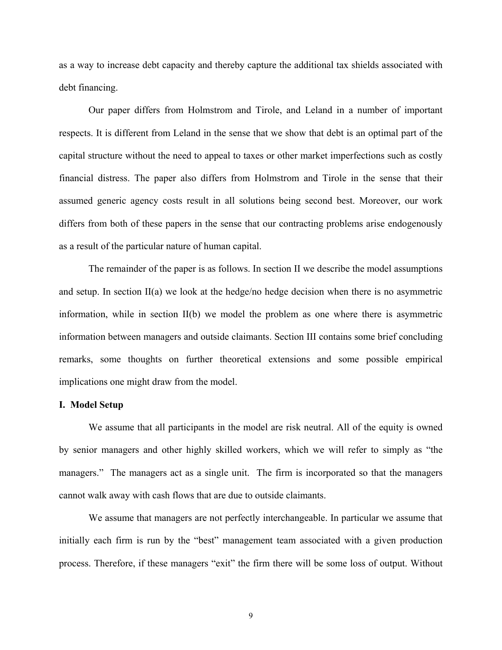as a way to increase debt capacity and thereby capture the additional tax shields associated with debt financing.

Our paper differs from Holmstrom and Tirole, and Leland in a number of important respects. It is different from Leland in the sense that we show that debt is an optimal part of the capital structure without the need to appeal to taxes or other market imperfections such as costly financial distress. The paper also differs from Holmstrom and Tirole in the sense that their assumed generic agency costs result in all solutions being second best. Moreover, our work differs from both of these papers in the sense that our contracting problems arise endogenously as a result of the particular nature of human capital.

The remainder of the paper is as follows. In section II we describe the model assumptions and setup. In section II(a) we look at the hedge/no hedge decision when there is no asymmetric information, while in section  $II(b)$  we model the problem as one where there is asymmetric information between managers and outside claimants. Section III contains some brief concluding remarks, some thoughts on further theoretical extensions and some possible empirical implications one might draw from the model.

#### **I. Model Setup**

We assume that all participants in the model are risk neutral. All of the equity is owned by senior managers and other highly skilled workers, which we will refer to simply as "the managers." The managers act as a single unit. The firm is incorporated so that the managers cannot walk away with cash flows that are due to outside claimants.

We assume that managers are not perfectly interchangeable. In particular we assume that initially each firm is run by the "best" management team associated with a given production process. Therefore, if these managers "exit" the firm there will be some loss of output. Without

9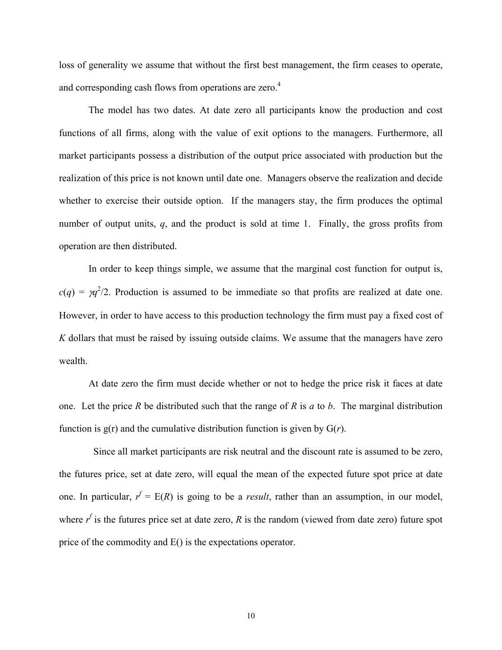loss of generality we assume that without the first best management, the firm ceases to operate, and corresponding cash flows from operations are zero.<sup>4</sup>

The model has two dates. At date zero all participants know the production and cost functions of all firms, along with the value of exit options to the managers. Furthermore, all market participants possess a distribution of the output price associated with production but the realization of this price is not known until date one. Managers observe the realization and decide whether to exercise their outside option. If the managers stay, the firm produces the optimal number of output units, *q*, and the product is sold at time 1. Finally, the gross profits from operation are then distributed.

In order to keep things simple, we assume that the marginal cost function for output is,  $c(q) = \gamma q^2/2$ . Production is assumed to be immediate so that profits are realized at date one. However, in order to have access to this production technology the firm must pay a fixed cost of *K* dollars that must be raised by issuing outside claims. We assume that the managers have zero wealth.

At date zero the firm must decide whether or not to hedge the price risk it faces at date one. Let the price *R* be distributed such that the range of *R* is *a* to *b*. The marginal distribution function is  $g(r)$  and the cumulative distribution function is given by  $G(r)$ .

 Since all market participants are risk neutral and the discount rate is assumed to be zero, the futures price, set at date zero, will equal the mean of the expected future spot price at date one. In particular,  $r^f = E(R)$  is going to be a *result*, rather than an assumption, in our model, where  $r^f$  is the futures price set at date zero, R is the random (viewed from date zero) future spot price of the commodity and E() is the expectations operator.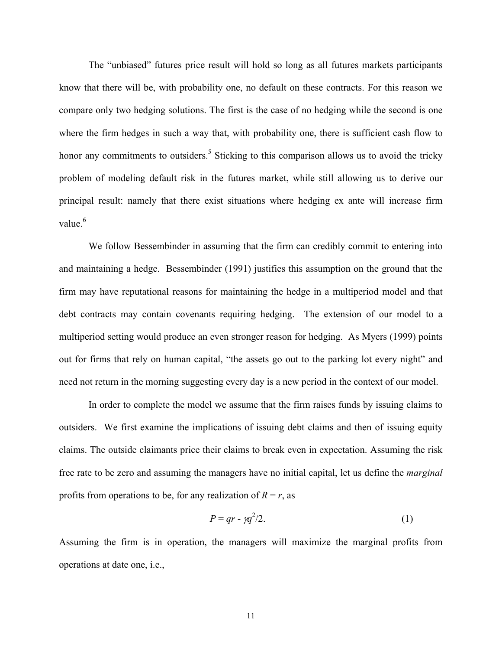The "unbiased" futures price result will hold so long as all futures markets participants know that there will be, with probability one, no default on these contracts. For this reason we compare only two hedging solutions. The first is the case of no hedging while the second is one where the firm hedges in such a way that, with probability one, there is sufficient cash flow to honor any commitments to outsiders.<sup>5</sup> Sticking to this comparison allows us to avoid the tricky problem of modeling default risk in the futures market, while still allowing us to derive our principal result: namely that there exist situations where hedging ex ante will increase firm value. $6$ 

We follow Bessembinder in assuming that the firm can credibly commit to entering into and maintaining a hedge. Bessembinder (1991) justifies this assumption on the ground that the firm may have reputational reasons for maintaining the hedge in a multiperiod model and that debt contracts may contain covenants requiring hedging. The extension of our model to a multiperiod setting would produce an even stronger reason for hedging. As Myers (1999) points out for firms that rely on human capital, "the assets go out to the parking lot every night" and need not return in the morning suggesting every day is a new period in the context of our model.

In order to complete the model we assume that the firm raises funds by issuing claims to outsiders. We first examine the implications of issuing debt claims and then of issuing equity claims. The outside claimants price their claims to break even in expectation. Assuming the risk free rate to be zero and assuming the managers have no initial capital, let us define the *marginal* profits from operations to be, for any realization of  $R = r$ , as

$$
P = qr - \gamma q^2 / 2. \tag{1}
$$

Assuming the firm is in operation, the managers will maximize the marginal profits from operations at date one, i.e.,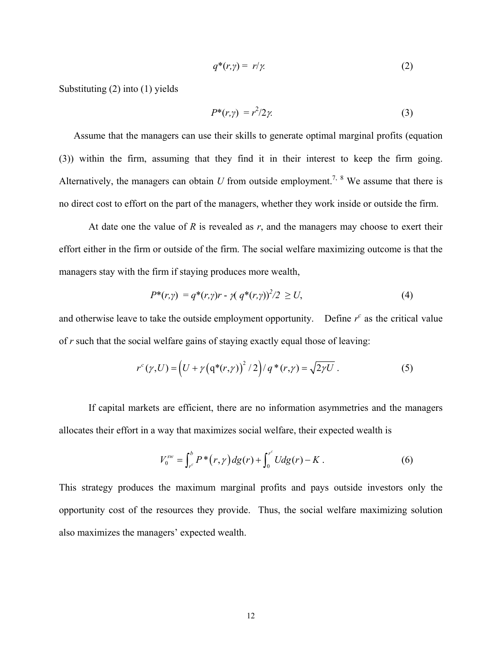$$
q^*(r,\gamma) = r/\gamma. \tag{2}
$$

Substituting (2) into (1) yields

$$
P^*(r,\gamma) = r^2/2\gamma. \tag{3}
$$

Assume that the managers can use their skills to generate optimal marginal profits (equation (3)) within the firm, assuming that they find it in their interest to keep the firm going. Alternatively, the managers can obtain  $U$  from outside employment.<sup>7, 8</sup> We assume that there is no direct cost to effort on the part of the managers, whether they work inside or outside the firm.

At date one the value of  $R$  is revealed as  $r$ , and the managers may choose to exert their effort either in the firm or outside of the firm. The social welfare maximizing outcome is that the managers stay with the firm if staying produces more wealth,

$$
P^*(r,\gamma) = q^*(r,\gamma)r - \gamma (q^*(r,\gamma))^2/2 \ge U,
$$
 (4)

and otherwise leave to take the outside employment opportunity. Define  $r^c$  as the critical value of *r* such that the social welfare gains of staying exactly equal those of leaving:

$$
r^{c}(\gamma, U) = (U + \gamma (q^{*}(r, \gamma))^{2} / 2) / q^{*}(r, \gamma) = \sqrt{2\gamma U}.
$$
 (5)

 If capital markets are efficient, there are no information asymmetries and the managers allocates their effort in a way that maximizes social welfare, their expected wealth is

$$
V_0^{sw} = \int_{r^c}^b P^*(r,\gamma) \, dg(r) + \int_0^{r^c} U dg(r) - K \,. \tag{6}
$$

This strategy produces the maximum marginal profits and pays outside investors only the opportunity cost of the resources they provide. Thus, the social welfare maximizing solution also maximizes the managers' expected wealth.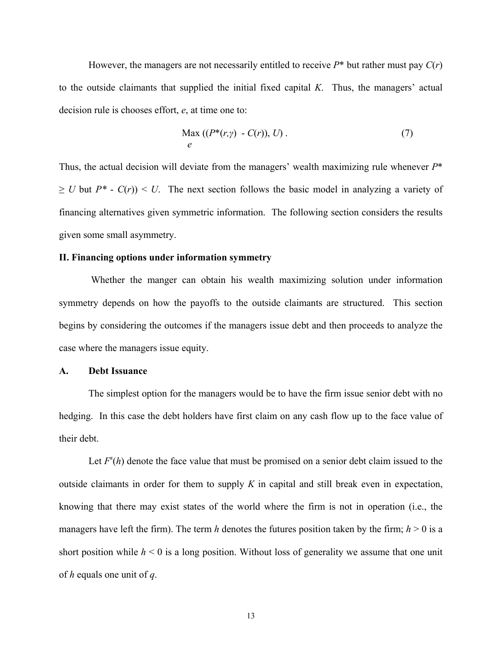However, the managers are not necessarily entitled to receive *P*\* but rather must pay *C*(*r*) to the outside claimants that supplied the initial fixed capital *K*. Thus, the managers' actual decision rule is chooses effort, *e*, at time one to:

$$
\begin{array}{l}\text{Max }((P^*(r,\gamma)-C(r)), U)\\e\end{array}.
$$
\n(7)

Thus, the actual decision will deviate from the managers' wealth maximizing rule whenever *P*\*  $\geq U$  but  $P^*$  -  $C(r)$ ) < *U*. The next section follows the basic model in analyzing a variety of financing alternatives given symmetric information. The following section considers the results given some small asymmetry.

#### **II. Financing options under information symmetry**

 Whether the manger can obtain his wealth maximizing solution under information symmetry depends on how the payoffs to the outside claimants are structured. This section begins by considering the outcomes if the managers issue debt and then proceeds to analyze the case where the managers issue equity.

#### **A. Debt Issuance**

 The simplest option for the managers would be to have the firm issue senior debt with no hedging. In this case the debt holders have first claim on any cash flow up to the face value of their debt.

Let  $F<sup>s</sup>(h)$  denote the face value that must be promised on a senior debt claim issued to the outside claimants in order for them to supply *K* in capital and still break even in expectation, knowing that there may exist states of the world where the firm is not in operation (i.e., the managers have left the firm). The term *h* denotes the futures position taken by the firm;  $h > 0$  is a short position while  $h \leq 0$  is a long position. Without loss of generality we assume that one unit of *h* equals one unit of *q*.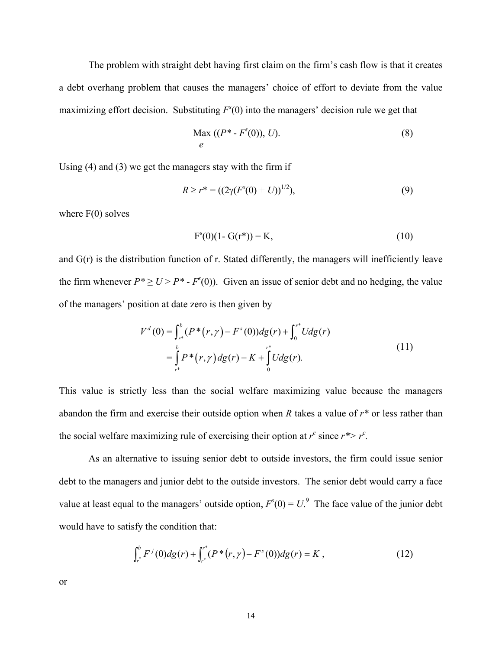The problem with straight debt having first claim on the firm's cash flow is that it creates a debt overhang problem that causes the managers' choice of effort to deviate from the value maximizing effort decision. Substituting  $F<sup>s</sup>(0)$  into the managers' decision rule we get that

$$
\text{Max } ((P^* - F^s(0)), U). \tag{8}
$$

Using (4) and (3) we get the managers stay with the firm if

$$
R \ge r^* = ((2\gamma (F^s(0) + U))^{1/2}), \tag{9}
$$

where  $F(0)$  solves

$$
F^{s}(0)(1 - G(r^{*})) = K,
$$
\n(10)

and  $G(r)$  is the distribution function of r. Stated differently, the managers will inefficiently leave the firm whenever  $P^* \ge U > P^*$  -  $F^s(0)$ ). Given an issue of senior debt and no hedging, the value of the managers' position at date zero is then given by

$$
V^{d}(0) = \int_{r^{*}}^{b} (P^{*}(r, \gamma) - F^{s}(0)) dg(r) + \int_{0}^{r^{*}} U dg(r)
$$
  
= 
$$
\int_{r^{*}}^{b} P^{*}(r, \gamma) dg(r) - K + \int_{0}^{r^{*}} U dg(r).
$$
 (11)

This value is strictly less than the social welfare maximizing value because the managers abandon the firm and exercise their outside option when *R* takes a value of *r\** or less rather than the social welfare maximizing rule of exercising their option at  $r^c$  since  $r^* > r^c$ .

 As an alternative to issuing senior debt to outside investors, the firm could issue senior debt to the managers and junior debt to the outside investors. The senior debt would carry a face value at least equal to the managers' outside option,  $F<sup>s</sup>(0) = U<sup>9</sup>$ . The face value of the junior debt would have to satisfy the condition that:

$$
\int_{r^*}^{b} F^{j}(0)dg(r) + \int_{r^*}^{r^*} (P^*(r,\gamma) - F^s(0))dg(r) = K , \qquad (12)
$$

or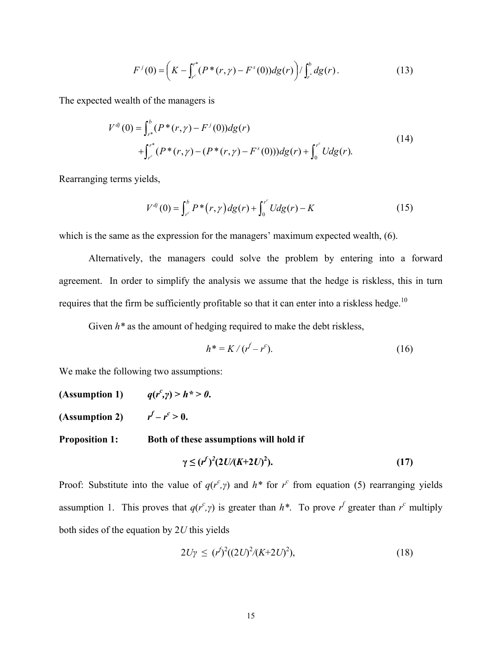$$
F^{j}(0) = \left(K - \int_{r^{\circ}}^{r^*} (P^*(r,\gamma) - F^s(0))dg(r)\right) / \int_{r^{\circ}}^{b} dg(r).
$$
 (13)

The expected wealth of the managers is

$$
V^{dj}(0) = \int_{r^*}^{b} (P^*(r,\gamma) - F^j(0))dg(r)
$$
  
+
$$
\int_{r^c}^{r^*} (P^*(r,\gamma) - (P^*(r,\gamma) - F^s(0)))dg(r) + \int_0^{r^c} Udg(r).
$$
 (14)

Rearranging terms yields,

$$
V^{dj}(0) = \int_{r^c}^{b} P^*(r, \gamma) \, dg(r) + \int_0^{r^c} U dg(r) - K \tag{15}
$$

which is the same as the expression for the managers' maximum expected wealth,  $(6)$ .

Alternatively, the managers could solve the problem by entering into a forward agreement. In order to simplify the analysis we assume that the hedge is riskless, this in turn requires that the firm be sufficiently profitable so that it can enter into a riskless hedge.<sup>10</sup>

Given  $h^*$  as the amount of hedging required to make the debt riskless,

$$
h^* = K / (r^f - r^c).
$$
 (16)

We make the following two assumptions:

- **(Assumption 1)** *q***(***r*  $f''(x, y) > h^* > 0.$
- **(Assumption 2)**  $f - r^c > 0.$

**Proposition 1: Both of these assumptions will hold if** 

$$
\gamma \le (r^f)^2 (2U/(K+2U)^2). \tag{17}
$$

Proof: Substitute into the value of  $q(r^c, \gamma)$  and  $h^*$  for  $r^c$  from equation (5) rearranging yields assumption 1. This proves that  $q(r^c, \gamma)$  is greater than  $h^*$ . To prove  $r^f$  greater than  $r^c$  multiply both sides of the equation by 2*U* this yields

$$
2U\gamma \le (r^{\ell})^2((2U)^2/(K+2U)^2),\tag{18}
$$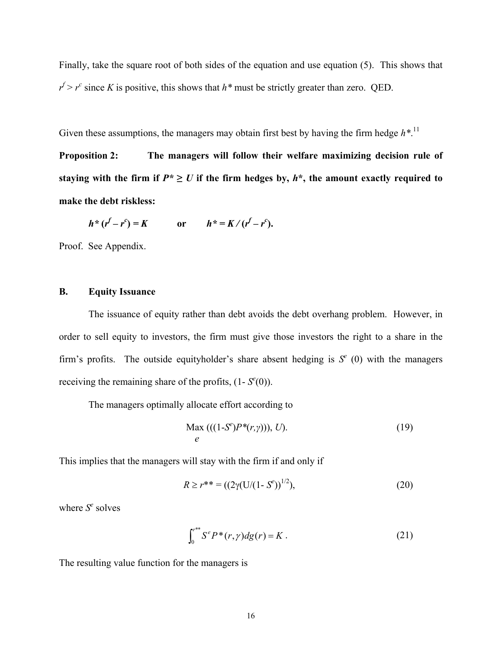Finally, take the square root of both sides of the equation and use equation (5). This shows that  $r^f > r^c$  since *K* is positive, this shows that *h*<sup>\*</sup> must be strictly greater than zero. QED.

Given these assumptions, the managers may obtain first best by having the firm hedge  $h^*$ .<sup>11</sup>

**Proposition 2: The managers will follow their welfare maximizing decision rule of**  staying with the firm if  $P^* \ge U$  if the firm hedges by,  $h^*$ , the amount exactly required to **make the debt riskless:** 

$$
h^*(r^f - r^c) = K
$$
 or  $h^* = K/(r^f - r^c)$ .

Proof. See Appendix.

#### **B. Equity Issuance**

 The issuance of equity rather than debt avoids the debt overhang problem. However, in order to sell equity to investors, the firm must give those investors the right to a share in the firm's profits. The outside equityholder's share absent hedging is  $S^e$  (0) with the managers receiving the remaining share of the profits,  $(1 - S<sup>e</sup>(0))$ .

The managers optimally allocate effort according to

$$
\text{Max} \ ((1-S^e)P^*(r,\gamma))), \ U).
$$
\n(19)

This implies that the managers will stay with the firm if and only if

$$
R \ge r^{**} = ((2\gamma(U/(1-S^e))^{1/2}), \tag{20}
$$

where *Se* solves

$$
\int_0^{r^{**}} S^e P^*(r, \gamma) d g(r) = K.
$$
 (21)

The resulting value function for the managers is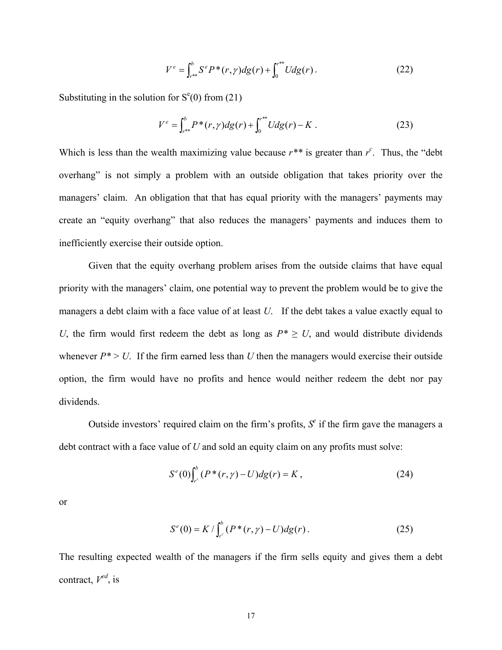$$
V^{e} = \int_{r^{**}}^{b} S^{e} P^{*}(r, \gamma) dg(r) + \int_{0}^{r^{**}} U dg(r).
$$
 (22)

Substituting in the solution for  $S^e(0)$  from (21)

$$
V^{e} = \int_{r^{**}}^{b} P^{*}(r, \gamma) dg(r) + \int_{0}^{r^{**}} U dg(r) - K.
$$
 (23)

Which is less than the wealth maximizing value because  $r^{**}$  is greater than  $r^c$ . Thus, the "debt" overhang" is not simply a problem with an outside obligation that takes priority over the managers' claim. An obligation that that has equal priority with the managers' payments may create an "equity overhang" that also reduces the managers' payments and induces them to inefficiently exercise their outside option.

 Given that the equity overhang problem arises from the outside claims that have equal priority with the managers' claim, one potential way to prevent the problem would be to give the managers a debt claim with a face value of at least *U*. If the debt takes a value exactly equal to *U*, the firm would first redeem the debt as long as  $P^* \ge U$ , and would distribute dividends whenever  $P^*$  > U. If the firm earned less than U then the managers would exercise their outside option, the firm would have no profits and hence would neither redeem the debt nor pay dividends.

Outside investors' required claim on the firm's profits,  $S^e$  if the firm gave the managers a debt contract with a face value of *U* and sold an equity claim on any profits must solve:

$$
S^{e}(0)\int_{r^{c}}^{b} (P^{*}(r,\gamma)-U)dg(r) = K,
$$
\n(24)

or

$$
S^{e}(0) = K / \int_{r^{e}}^{b} (P^{*}(r, \gamma) - U) dg(r).
$$
 (25)

The resulting expected wealth of the managers if the firm sells equity and gives them a debt contract,  $V^{ed}$ , is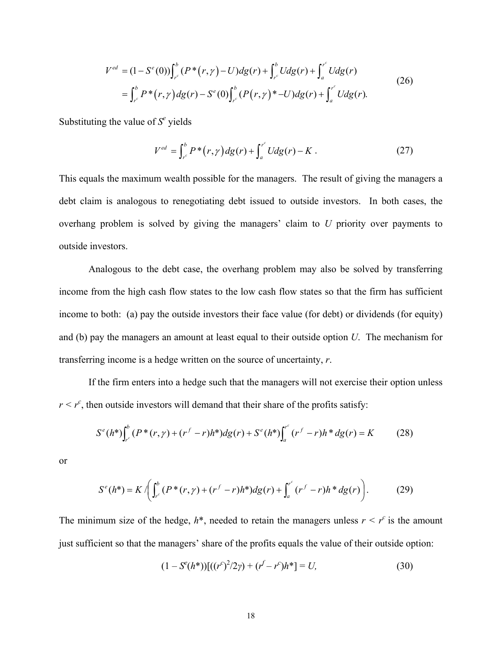$$
V^{ed} = (1 - S^{e}(0)) \int_{r^{e}}^{b} (P^{*}(r, \gamma) - U) dg(r) + \int_{r^{e}}^{b} U dg(r) + \int_{a}^{r^{e}} U dg(r)
$$
  
= 
$$
\int_{r^{e}}^{b} P^{*}(r, \gamma) dg(r) - S^{e}(0) \int_{r^{e}}^{b} (P(r, \gamma)^{*} - U) dg(r) + \int_{a}^{r^{e}} U dg(r).
$$
 (26)

Substituting the value of  $S<sup>e</sup>$  yields

$$
V^{ed} = \int_{r^c}^{b} P^*(r, \gamma) \, dg(r) + \int_{a}^{r^c} U dg(r) - K \,. \tag{27}
$$

This equals the maximum wealth possible for the managers. The result of giving the managers a debt claim is analogous to renegotiating debt issued to outside investors. In both cases, the overhang problem is solved by giving the managers' claim to *U* priority over payments to outside investors.

 Analogous to the debt case, the overhang problem may also be solved by transferring income from the high cash flow states to the low cash flow states so that the firm has sufficient income to both: (a) pay the outside investors their face value (for debt) or dividends (for equity) and (b) pay the managers an amount at least equal to their outside option *U*. The mechanism for transferring income is a hedge written on the source of uncertainty, *r*.

 If the firm enters into a hedge such that the managers will not exercise their option unless  $r < r<sup>c</sup>$ , then outside investors will demand that their share of the profits satisfy:

$$
S^{e}(h^{*})\int_{r^{c}}^{b}(P^{*}(r,\gamma)+(r^{f}-r)h^{*})dg(r)+S^{e}(h^{*})\int_{a}^{r^{c}}(r^{f}-r)h^{*}dg(r)=K
$$
 (28)

or

$$
S^{e}(h^{*}) = K \left( \int_{r^{e}}^{b} (P^{*}(r,\gamma) + (r^{f} - r)h^{*}) dg(r) + \int_{a}^{r^{e}} (r^{f} - r)h^{*} dg(r) \right). \tag{29}
$$

The minimum size of the hedge,  $h^*$ , needed to retain the managers unless  $r < r^c$  is the amount just sufficient so that the managers' share of the profits equals the value of their outside option:

$$
(1 - Se(h*))[( (rc)2/2\gamma) + (rf - rc)h*] = U,
$$
\n(30)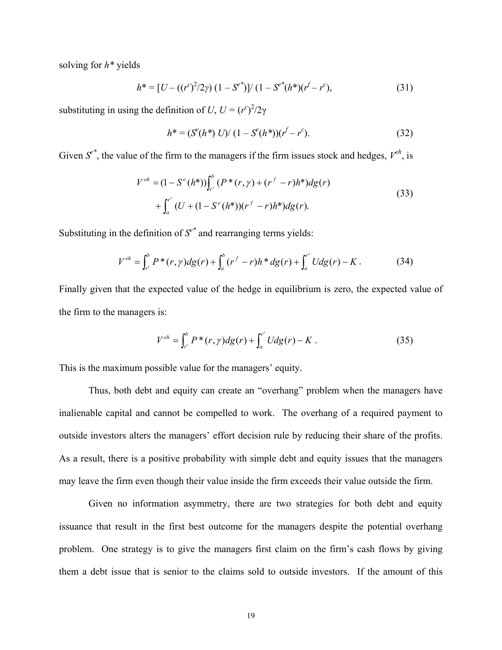solving for *h\** yields

$$
h^* = [U - ((r^c)^2/2\gamma) (1 - S^{e^*})]/(1 - S^{e^*}(h^*)(r^f - r^c), \qquad (31)
$$

substituting in using the definition of *U*,  $U = (r^c)^2/2\gamma$ 

$$
h^* = (S^e(h^*) U) / (1 - S^e(h^*)) (r^f - r^c).
$$
 (32)

Given  $S^{e^*}$ , the value of the firm to the managers if the firm issues stock and hedges,  $V^{eh}$ , is

$$
V^{eh} = (1 - S^{e} (h^{*})) \int_{r^{e}}^{b} (P^{*}(r, \gamma) + (r^{f} - r)h^{*}) dg(r)
$$
  
+ 
$$
\int_{a}^{r^{e}} (U + (1 - S^{e} (h^{*})) (r^{f} - r)h^{*}) dg(r).
$$
 (33)

Substituting in the definition of *Se\** and rearranging terms yields:

$$
V^{eh} = \int_{r^c}^{b} P^*(r, \gamma) dg(r) + \int_a^b (r^f - r) h^* dg(r) + \int_a^{r^c} U dg(r) - K.
$$
 (34)

Finally given that the expected value of the hedge in equilibrium is zero, the expected value of the firm to the managers is:

$$
V^{eh} = \int_{r^c}^{b} P^*(r, \gamma) dg(r) + \int_{a}^{r^c} U dg(r) - K \,.
$$
 (35)

This is the maximum possible value for the managers' equity.

 Thus, both debt and equity can create an "overhang" problem when the managers have inalienable capital and cannot be compelled to work. The overhang of a required payment to outside investors alters the managers' effort decision rule by reducing their share of the profits. As a result, there is a positive probability with simple debt and equity issues that the managers may leave the firm even though their value inside the firm exceeds their value outside the firm.

 Given no information asymmetry, there are two strategies for both debt and equity issuance that result in the first best outcome for the managers despite the potential overhang problem. One strategy is to give the managers first claim on the firm's cash flows by giving them a debt issue that is senior to the claims sold to outside investors. If the amount of this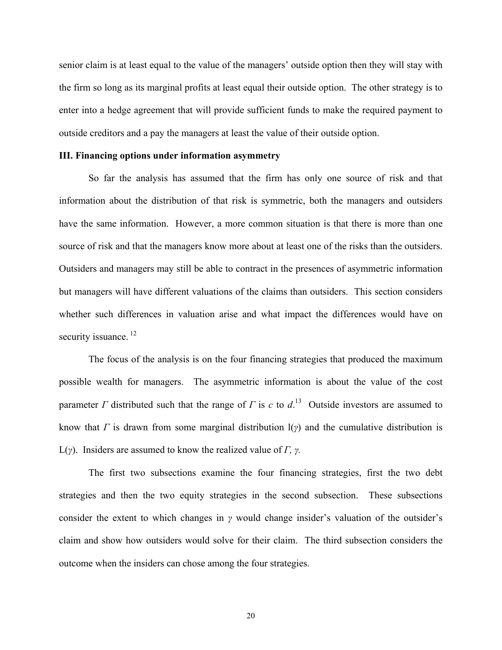senior claim is at least equal to the value of the managers' outside option then they will stay with the firm so long as its marginal profits at least equal their outside option. The other strategy is to enter into a hedge agreement that will provide sufficient funds to make the required payment to outside creditors and a pay the managers at least the value of their outside option.

#### **III. Financing options under information asymmetry**

 So far the analysis has assumed that the firm has only one source of risk and that information about the distribution of that risk is symmetric, both the managers and outsiders have the same information. However, a more common situation is that there is more than one source of risk and that the managers know more about at least one of the risks than the outsiders. Outsiders and managers may still be able to contract in the presences of asymmetric information but managers will have different valuations of the claims than outsiders. This section considers whether such differences in valuation arise and what impact the differences would have on security issuance.<sup>12</sup>

 The focus of the analysis is on the four financing strategies that produced the maximum possible wealth for managers. The asymmetric information is about the value of the cost parameter *Γ* distributed such that the range of *Γ* is *c* to  $d$ <sup>13</sup>. Outside investors are assumed to know that *Γ* is drawn from some marginal distribution  $I(y)$  and the cumulative distribution is L(*γ*). Insiders are assumed to know the realized value of *Γ, γ.*

 The first two subsections examine the four financing strategies, first the two debt strategies and then the two equity strategies in the second subsection. These subsections consider the extent to which changes in *γ* would change insider's valuation of the outsider's claim and show how outsiders would solve for their claim. The third subsection considers the outcome when the insiders can chose among the four strategies.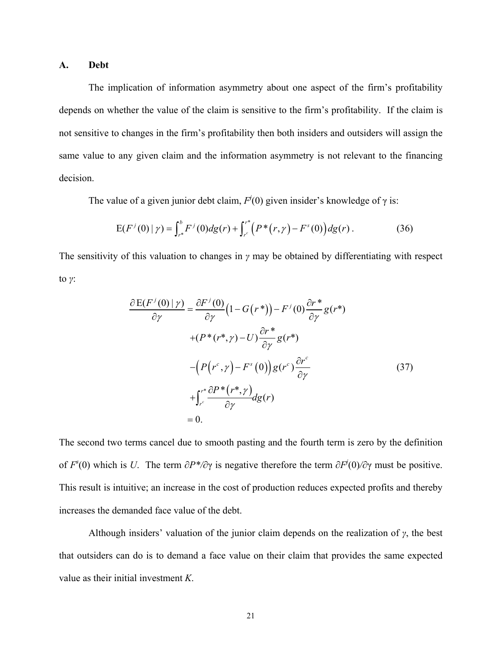#### **A. Debt**

 The implication of information asymmetry about one aspect of the firm's profitability depends on whether the value of the claim is sensitive to the firm's profitability. If the claim is not sensitive to changes in the firm's profitability then both insiders and outsiders will assign the same value to any given claim and the information asymmetry is not relevant to the financing decision.

The value of a given junior debt claim,  $F(0)$  given insider's knowledge of  $\gamma$  is:

$$
E(F^j(0) | \gamma) = \int_{r^*}^b F^j(0) dg(r) + \int_{r^*}^{r^*} \left( P^*(r, \gamma) - F^s(0) \right) dg(r).
$$
 (36)

The sensitivity of this valuation to changes in *γ* may be obtained by differentiating with respect to *γ*:

$$
\frac{\partial E(F^j(0) | \gamma)}{\partial \gamma} = \frac{\partial F^j(0)}{\partial \gamma} (1 - G(r^*)) - F^j(0) \frac{\partial r^*}{\partial \gamma} g(r^*)
$$
  
+ 
$$
(P^*(r^*, \gamma) - U) \frac{\partial r^*}{\partial \gamma} g(r^*)
$$
  
- 
$$
(P(r^c, \gamma) - F^s(0)) g(r^c) \frac{\partial r^c}{\partial \gamma}
$$
  
+ 
$$
\int_{r^c}^{r^*} \frac{\partial P^*(r^*, \gamma)}{\partial \gamma} dg(r)
$$
  
= 0. (37)

The second two terms cancel due to smooth pasting and the fourth term is zero by the definition of  $F^s(0)$  which is *U*. The term  $\partial P^* / \partial \gamma$  is negative therefore the term  $\partial F^j(0) / \partial \gamma$  must be positive. This result is intuitive; an increase in the cost of production reduces expected profits and thereby increases the demanded face value of the debt.

 Although insiders' valuation of the junior claim depends on the realization of *γ*, the best that outsiders can do is to demand a face value on their claim that provides the same expected value as their initial investment *K*.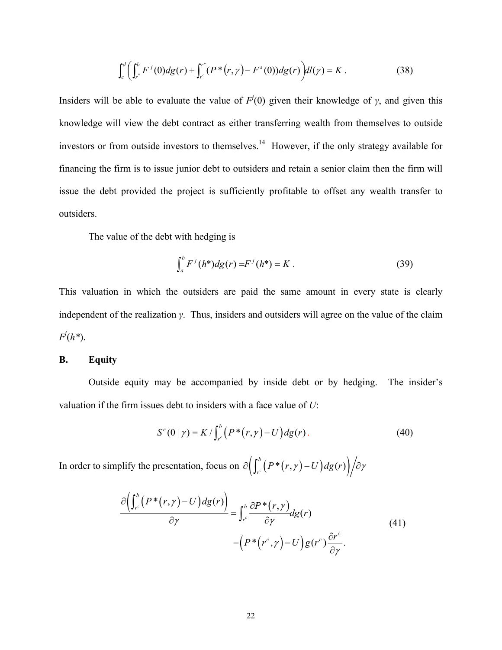$$
\int_{c}^{d} \left( \int_{r^*}^{b} F^{j}(0) dg(r) + \int_{r^c}^{r^*} (P^*(r, \gamma) - F^s(0)) dg(r) \right) dl(\gamma) = K.
$$
 (38)

Insiders will be able to evaluate the value of  $F'(0)$  given their knowledge of *γ*, and given this knowledge will view the debt contract as either transferring wealth from themselves to outside investors or from outside investors to themselves.<sup>14</sup> However, if the only strategy available for financing the firm is to issue junior debt to outsiders and retain a senior claim then the firm will issue the debt provided the project is sufficiently profitable to offset any wealth transfer to outsiders.

The value of the debt with hedging is

$$
\int_{a}^{b} F^{j}(h^{*})dg(r) = F^{j}(h^{*}) = K.
$$
 (39)

This valuation in which the outsiders are paid the same amount in every state is clearly independent of the realization *γ*. Thus, insiders and outsiders will agree on the value of the claim *Fj* (*h\**).

#### **B. Equity**

 Outside equity may be accompanied by inside debt or by hedging. The insider's valuation if the firm issues debt to insiders with a face value of *U*:

$$
S^{e}(0 | \gamma) = K / \int_{r^{e}}^{b} (P^{*}(r, \gamma) - U) dg(r).
$$
 (40)

In order to simplify the presentation, focus on  $\partial \left( \int_{r_c}^{b} \left( P^*(r, \gamma) - U \right) dg(r) \right) / \partial \gamma$ 

$$
\frac{\partial \left(\int_{r^c}^{b} \left(P^*(r,\gamma)-U\right) dg(r)\right)}{\partial \gamma} = \int_{r^c}^{b} \frac{\partial P^*(r,\gamma)}{\partial \gamma} dg(r) -\left(P^*\left(r^c,\gamma\right)-U\right) g(r^c)\frac{\partial r^c}{\partial \gamma}.
$$
\n(41)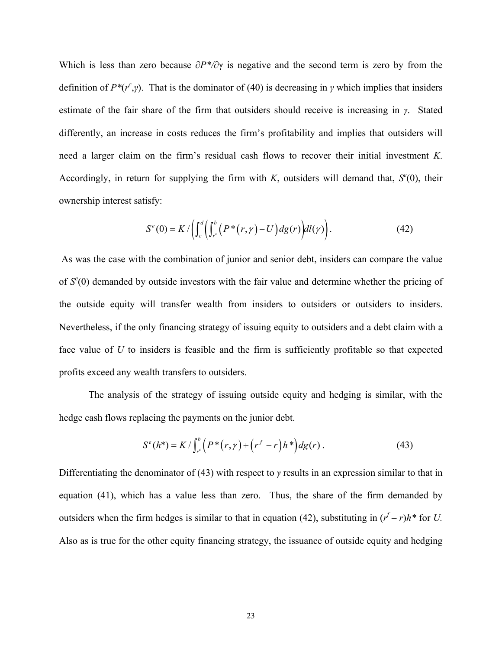Which is less than zero because ∂*P\*/*∂γ is negative and the second term is zero by from the definition of  $P^*(r^c, \gamma)$ . That is the dominator of (40) is decreasing in *γ* which implies that insiders estimate of the fair share of the firm that outsiders should receive is increasing in *γ*. Stated differently, an increase in costs reduces the firm's profitability and implies that outsiders will need a larger claim on the firm's residual cash flows to recover their initial investment *K*. Accordingly, in return for supplying the firm with  $K$ , outsiders will demand that,  $S<sup>e</sup>(0)$ , their ownership interest satisfy:

$$
S^{e}(0) = K / \left( \int_{c}^{d} \left( \int_{r}^{b} \left( P^{*}(r, \gamma) - U \right) d g(r) \right) dl(\gamma) \right). \tag{42}
$$

 As was the case with the combination of junior and senior debt, insiders can compare the value of *Se* (0) demanded by outside investors with the fair value and determine whether the pricing of the outside equity will transfer wealth from insiders to outsiders or outsiders to insiders. Nevertheless, if the only financing strategy of issuing equity to outsiders and a debt claim with a face value of *U* to insiders is feasible and the firm is sufficiently profitable so that expected profits exceed any wealth transfers to outsiders.

 The analysis of the strategy of issuing outside equity and hedging is similar, with the hedge cash flows replacing the payments on the junior debt.

$$
S^{e}(h^{*}) = K / \int_{r^{e}}^{h} (P^{*}(r,\gamma) + (r^{f} - r)h^{*}) dg(r).
$$
 (43)

Differentiating the denominator of (43) with respect to *γ* results in an expression similar to that in equation (41), which has a value less than zero. Thus, the share of the firm demanded by outsiders when the firm hedges is similar to that in equation (42), substituting in  $(r^f - r)h^*$  for *U*. Also as is true for the other equity financing strategy, the issuance of outside equity and hedging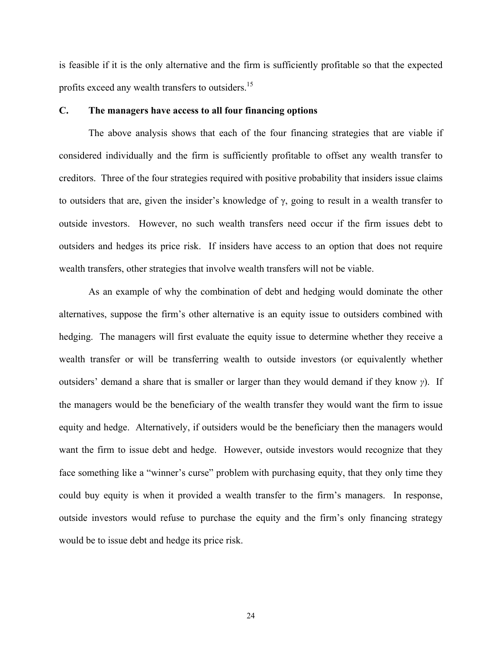is feasible if it is the only alternative and the firm is sufficiently profitable so that the expected profits exceed any wealth transfers to outsiders.15

#### **C. The managers have access to all four financing options**

 The above analysis shows that each of the four financing strategies that are viable if considered individually and the firm is sufficiently profitable to offset any wealth transfer to creditors. Three of the four strategies required with positive probability that insiders issue claims to outsiders that are, given the insider's knowledge of γ, going to result in a wealth transfer to outside investors. However, no such wealth transfers need occur if the firm issues debt to outsiders and hedges its price risk. If insiders have access to an option that does not require wealth transfers, other strategies that involve wealth transfers will not be viable.

 As an example of why the combination of debt and hedging would dominate the other alternatives, suppose the firm's other alternative is an equity issue to outsiders combined with hedging. The managers will first evaluate the equity issue to determine whether they receive a wealth transfer or will be transferring wealth to outside investors (or equivalently whether outsiders' demand a share that is smaller or larger than they would demand if they know *γ*). If the managers would be the beneficiary of the wealth transfer they would want the firm to issue equity and hedge. Alternatively, if outsiders would be the beneficiary then the managers would want the firm to issue debt and hedge. However, outside investors would recognize that they face something like a "winner's curse" problem with purchasing equity, that they only time they could buy equity is when it provided a wealth transfer to the firm's managers. In response, outside investors would refuse to purchase the equity and the firm's only financing strategy would be to issue debt and hedge its price risk.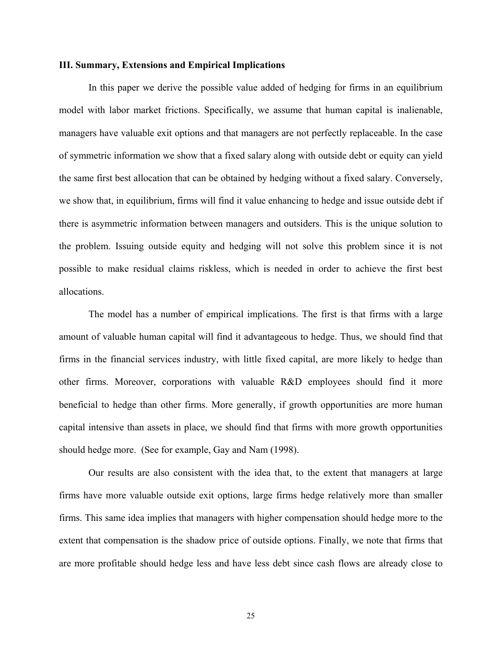#### **III. Summary, Extensions and Empirical Implications**

 In this paper we derive the possible value added of hedging for firms in an equilibrium model with labor market frictions. Specifically, we assume that human capital is inalienable, managers have valuable exit options and that managers are not perfectly replaceable. In the case of symmetric information we show that a fixed salary along with outside debt or equity can yield the same first best allocation that can be obtained by hedging without a fixed salary. Conversely, we show that, in equilibrium, firms will find it value enhancing to hedge and issue outside debt if there is asymmetric information between managers and outsiders. This is the unique solution to the problem. Issuing outside equity and hedging will not solve this problem since it is not possible to make residual claims riskless, which is needed in order to achieve the first best allocations.

The model has a number of empirical implications. The first is that firms with a large amount of valuable human capital will find it advantageous to hedge. Thus, we should find that firms in the financial services industry, with little fixed capital, are more likely to hedge than other firms. Moreover, corporations with valuable R&D employees should find it more beneficial to hedge than other firms. More generally, if growth opportunities are more human capital intensive than assets in place, we should find that firms with more growth opportunities should hedge more. (See for example, Gay and Nam (1998).

Our results are also consistent with the idea that, to the extent that managers at large firms have more valuable outside exit options, large firms hedge relatively more than smaller firms. This same idea implies that managers with higher compensation should hedge more to the extent that compensation is the shadow price of outside options. Finally, we note that firms that are more profitable should hedge less and have less debt since cash flows are already close to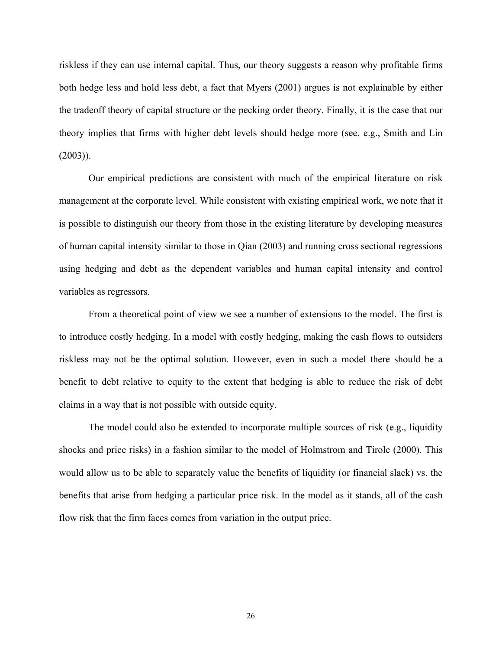riskless if they can use internal capital. Thus, our theory suggests a reason why profitable firms both hedge less and hold less debt, a fact that Myers (2001) argues is not explainable by either the tradeoff theory of capital structure or the pecking order theory. Finally, it is the case that our theory implies that firms with higher debt levels should hedge more (see, e.g., Smith and Lin  $(2003)$ ).

Our empirical predictions are consistent with much of the empirical literature on risk management at the corporate level. While consistent with existing empirical work, we note that it is possible to distinguish our theory from those in the existing literature by developing measures of human capital intensity similar to those in Qian (2003) and running cross sectional regressions using hedging and debt as the dependent variables and human capital intensity and control variables as regressors.

From a theoretical point of view we see a number of extensions to the model. The first is to introduce costly hedging. In a model with costly hedging, making the cash flows to outsiders riskless may not be the optimal solution. However, even in such a model there should be a benefit to debt relative to equity to the extent that hedging is able to reduce the risk of debt claims in a way that is not possible with outside equity.

 The model could also be extended to incorporate multiple sources of risk (e.g., liquidity shocks and price risks) in a fashion similar to the model of Holmstrom and Tirole (2000). This would allow us to be able to separately value the benefits of liquidity (or financial slack) vs. the benefits that arise from hedging a particular price risk. In the model as it stands, all of the cash flow risk that the firm faces comes from variation in the output price.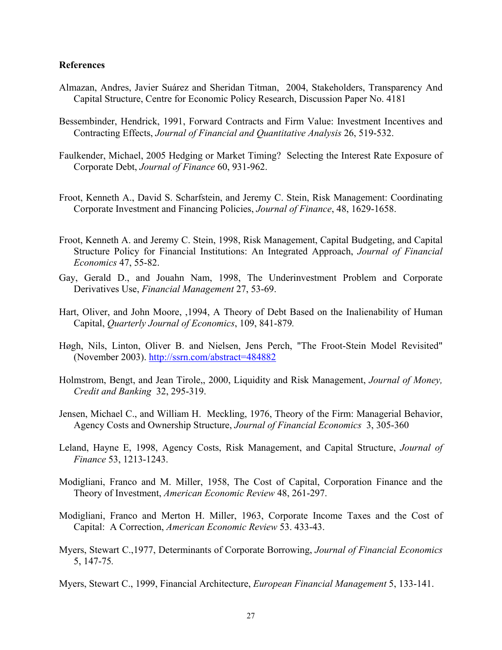#### **References**

- Almazan, Andres, Javier Suárez and Sheridan Titman, 2004, Stakeholders, Transparency And Capital Structure, Centre for Economic Policy Research, Discussion Paper No. 4181
- Bessembinder, Hendrick, 1991, Forward Contracts and Firm Value: Investment Incentives and Contracting Effects, *Journal of Financial and Quantitative Analysis* 26, 519-532.
- Faulkender, Michael, 2005 Hedging or Market Timing? Selecting the Interest Rate Exposure of Corporate Debt, *Journal of Finance* 60, 931-962.
- Froot, Kenneth A., David S. Scharfstein, and Jeremy C. Stein, Risk Management: Coordinating Corporate Investment and Financing Policies, *Journal of Finance*, 48, 1629-1658.
- Froot, Kenneth A. and Jeremy C. Stein, 1998, Risk Management, Capital Budgeting, and Capital Structure Policy for Financial Institutions: An Integrated Approach, *Journal of Financial Economics* 47, 55-82.
- Gay, Gerald D., and Jouahn Nam, 1998, The Underinvestment Problem and Corporate Derivatives Use, *Financial Management* 27, 53-69.
- Hart, Oliver, and John Moore, ,1994, A Theory of Debt Based on the Inalienability of Human Capital, *Quarterly Journal of Economics*, 109, 841-879*.*
- Høgh, Nils, Linton, Oliver B. and Nielsen, Jens Perch, "The Froot-Stein Model Revisited" (November 2003). http://ssrn.com/abstract=484882
- Holmstrom, Bengt, and Jean Tirole,, 2000, Liquidity and Risk Management, *Journal of Money, Credit and Banking* 32, 295-319.
- Jensen, Michael C., and William H. Meckling, 1976, Theory of the Firm: Managerial Behavior, Agency Costs and Ownership Structure, *Journal of Financial Economics* 3, 305-360
- Leland, Hayne E, 1998, Agency Costs, Risk Management, and Capital Structure, *Journal of Finance* 53, 1213-1243.
- Modigliani, Franco and M. Miller, 1958, The Cost of Capital, Corporation Finance and the Theory of Investment, *American Economic Review* 48, 261-297.
- Modigliani, Franco and Merton H. Miller, 1963, Corporate Income Taxes and the Cost of Capital: A Correction, *American Economic Review* 53. 433-43.
- Myers, Stewart C.,1977, Determinants of Corporate Borrowing, *Journal of Financial Economics* 5, 147-75*.*
- Myers, Stewart C., 1999, Financial Architecture, *European Financial Management* 5, 133-141.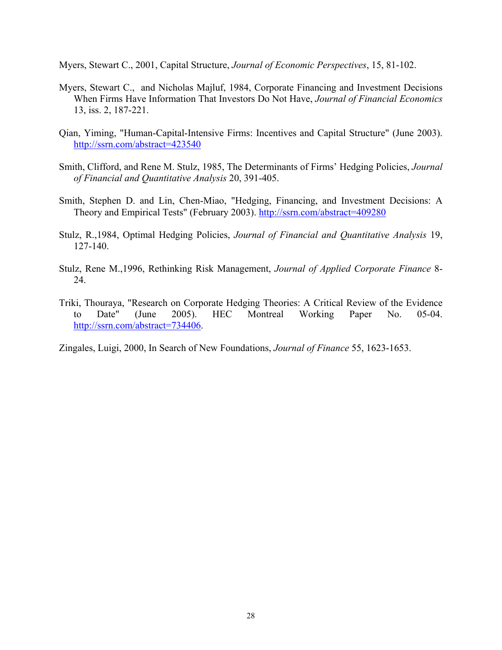Myers, Stewart C., 2001, Capital Structure, *Journal of Economic Perspectives*, 15, 81-102.

- Myers, Stewart C., and Nicholas Majluf, 1984, Corporate Financing and Investment Decisions When Firms Have Information That Investors Do Not Have, *Journal of Financial Economics* 13, iss. 2, 187-221.
- Qian, Yiming, "Human-Capital-Intensive Firms: Incentives and Capital Structure" (June 2003). http://ssrn.com/abstract=423540
- Smith, Clifford, and Rene M. Stulz, 1985, The Determinants of Firms' Hedging Policies, *Journal of Financial and Quantitative Analysis* 20, 391-405.
- Smith, Stephen D. and Lin, Chen-Miao, "Hedging, Financing, and Investment Decisions: A Theory and Empirical Tests" (February 2003). http://ssrn.com/abstract=409280
- Stulz, R.,1984, Optimal Hedging Policies, *Journal of Financial and Quantitative Analysis* 19, 127-140.
- Stulz, Rene M.,1996, Rethinking Risk Management, *Journal of Applied Corporate Finance* 8- 24.
- Triki, Thouraya, "Research on Corporate Hedging Theories: A Critical Review of the Evidence to Date" (June 2005). HEC Montreal Working Paper No. 05-04. http://ssrn.com/abstract=734406.

Zingales, Luigi, 2000, In Search of New Foundations, *Journal of Finance* 55, 1623-1653.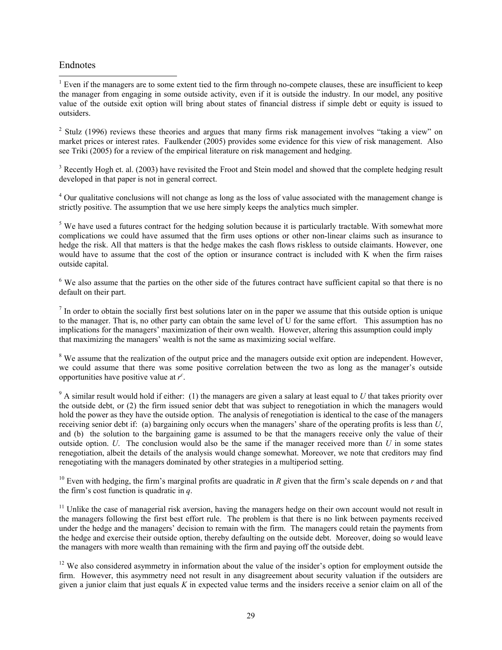#### Endnotes

 $\overline{\phantom{a}}$  $1$  Even if the managers are to some extent tied to the firm through no-compete clauses, these are insufficient to keep the manager from engaging in some outside activity, even if it is outside the industry. In our model, any positive value of the outside exit option will bring about states of financial distress if simple debt or equity is issued to outsiders.

<sup>2</sup> Stulz (1996) reviews these theories and argues that many firms risk management involves "taking a view" on market prices or interest rates. Faulkender (2005) provides some evidence for this view of risk management. Also see Triki (2005) for a review of the empirical literature on risk management and hedging.

 $3$  Recently Hogh et. al. (2003) have revisited the Froot and Stein model and showed that the complete hedging result developed in that paper is not in general correct.

<sup>4</sup> Our qualitative conclusions will not change as long as the loss of value associated with the management change is strictly positive. The assumption that we use here simply keeps the analytics much simpler.

 $<sup>5</sup>$  We have used a futures contract for the hedging solution because it is particularly tractable. With somewhat more</sup> complications we could have assumed that the firm uses options or other non-linear claims such as insurance to hedge the risk. All that matters is that the hedge makes the cash flows riskless to outside claimants. However, one would have to assume that the cost of the option or insurance contract is included with K when the firm raises outside capital.

<sup>6</sup> We also assume that the parties on the other side of the futures contract have sufficient capital so that there is no default on their part.

 $<sup>7</sup>$  In order to obtain the socially first best solutions later on in the paper we assume that this outside option is unique</sup> to the manager. That is, no other party can obtain the same level of U for the same effort. This assumption has no implications for the managers' maximization of their own wealth. However, altering this assumption could imply that maximizing the managers' wealth is not the same as maximizing social welfare.

<sup>8</sup> We assume that the realization of the output price and the managers outside exit option are independent. However, we could assume that there was some positive correlation between the two as long as the manager's outside opportunities have positive value at  $r^c$ .

 $9$  A similar result would hold if either: (1) the managers are given a salary at least equal to  $U$  that takes priority over the outside debt, or (2) the firm issued senior debt that was subject to renegotiation in which the managers would hold the power as they have the outside option. The analysis of renegotiation is identical to the case of the managers receiving senior debt if: (a) bargaining only occurs when the managers' share of the operating profits is less than *U*, and (b) the solution to the bargaining game is assumed to be that the managers receive only the value of their outside option. *U*. The conclusion would also be the same if the manager received more than *U* in some states renegotiation, albeit the details of the analysis would change somewhat. Moreover, we note that creditors may find renegotiating with the managers dominated by other strategies in a multiperiod setting.

<sup>10</sup> Even with hedging, the firm's marginal profits are quadratic in *R* given that the firm's scale depends on *r* and that the firm's cost function is quadratic in *q*.

 $11$  Unlike the case of managerial risk aversion, having the managers hedge on their own account would not result in the managers following the first best effort rule. The problem is that there is no link between payments received under the hedge and the managers' decision to remain with the firm. The managers could retain the payments from the hedge and exercise their outside option, thereby defaulting on the outside debt. Moreover, doing so would leave the managers with more wealth than remaining with the firm and paying off the outside debt.

 $12$  We also considered asymmetry in information about the value of the insider's option for employment outside the firm. However, this asymmetry need not result in any disagreement about security valuation if the outsiders are given a junior claim that just equals *K* in expected value terms and the insiders receive a senior claim on all of the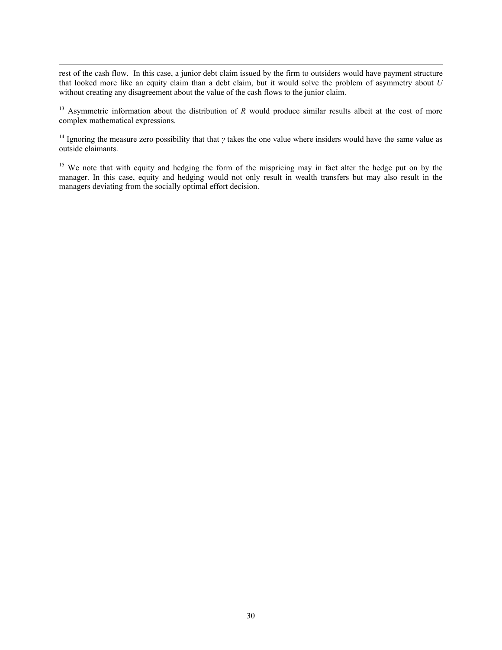rest of the cash flow. In this case, a junior debt claim issued by the firm to outsiders would have payment structure that looked more like an equity claim than a debt claim, but it would solve the problem of asymmetry about *U* without creating any disagreement about the value of the cash flows to the junior claim.

 $\overline{\phantom{a}}$ 

<sup>13</sup> Asymmetric information about the distribution of *R* would produce similar results albeit at the cost of more complex mathematical expressions.

<sup>14</sup> Ignoring the measure zero possibility that that *γ* takes the one value where insiders would have the same value as outside claimants.

<sup>15</sup> We note that with equity and hedging the form of the mispricing may in fact alter the hedge put on by the manager. In this case, equity and hedging would not only result in wealth transfers but may also result in the managers deviating from the socially optimal effort decision.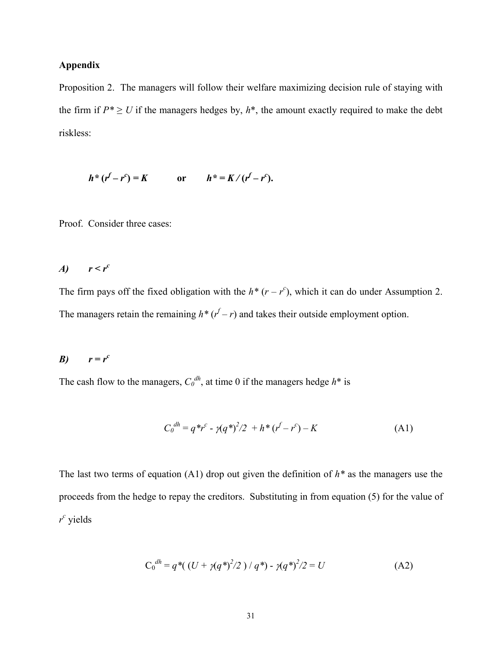#### **Appendix**

Proposition 2. The managers will follow their welfare maximizing decision rule of staying with the firm if  $P^* \ge U$  if the managers hedges by,  $h^*$ , the amount exactly required to make the debt riskless:

$$
h^*(r^f - r^c) = K
$$
 or  $h^* = K/(r^f - r^c)$ .

Proof. Consider three cases:

## *A*)  $r < r^c$

The firm pays off the fixed obligation with the  $h^*(r - r^c)$ , which it can do under Assumption 2. The managers retain the remaining  $h^*(r^f - r)$  and takes their outside employment option.

#### *B*)  $r = r^c$

The cash flow to the managers,  $C_0^{dh}$ , at time 0 if the managers hedge  $h^*$  is

$$
C_0^{dh} = q^*r^c - \gamma(q^*)^2/2 + h^*(r^f - r^c) - K
$$
 (A1)

The last two terms of equation (A1) drop out given the definition of *h\** as the managers use the proceeds from the hedge to repay the creditors. Substituting in from equation (5) for the value of *r c* yields

$$
C_0^{dh} = q^* ( (U + \gamma (q^*)^2 / 2) / q^*) - \gamma (q^*)^2 / 2 = U
$$
 (A2)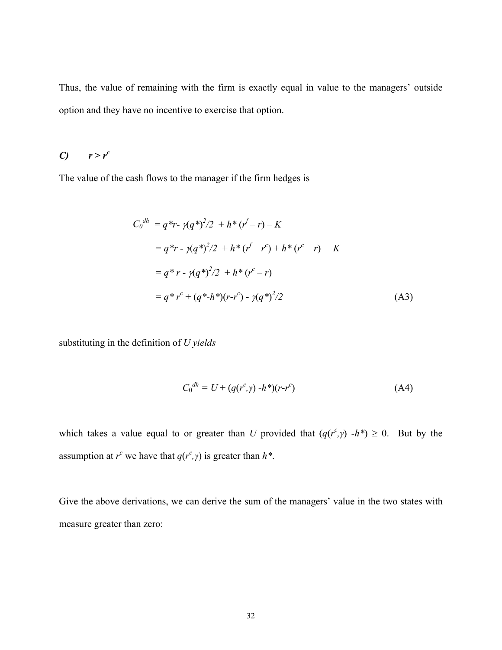Thus, the value of remaining with the firm is exactly equal in value to the managers' outside option and they have no incentive to exercise that option.

### *C*)  $r > r^c$

The value of the cash flows to the manager if the firm hedges is

$$
C_0^{dh} = q^*r \cdot \gamma(q^*)^2/2 + h^* (r^f - r) - K
$$
  
=  $q^*r \cdot \gamma(q^*)^2/2 + h^* (r^f - r^c) + h^* (r^c - r) - K$   
=  $q^*r \cdot \gamma(q^*)^2/2 + h^* (r^c - r)$   
=  $q^*r^c + (q^*h^*)(r-r^c) \cdot \gamma(q^*)^2/2$  (A3)

substituting in the definition of *U yields* 

$$
C_0^{dh} = U + (q(r^c, \gamma) - h^*)(r - r^c) \tag{A4}
$$

which takes a value equal to or greater than *U* provided that  $(q(r^c, \gamma) - h^*) \ge 0$ . But by the assumption at *r<sup>c</sup>* we have that *q*(*r<sup>c</sup>*,*γ*) is greater than *h\**.

Give the above derivations, we can derive the sum of the managers' value in the two states with measure greater than zero: